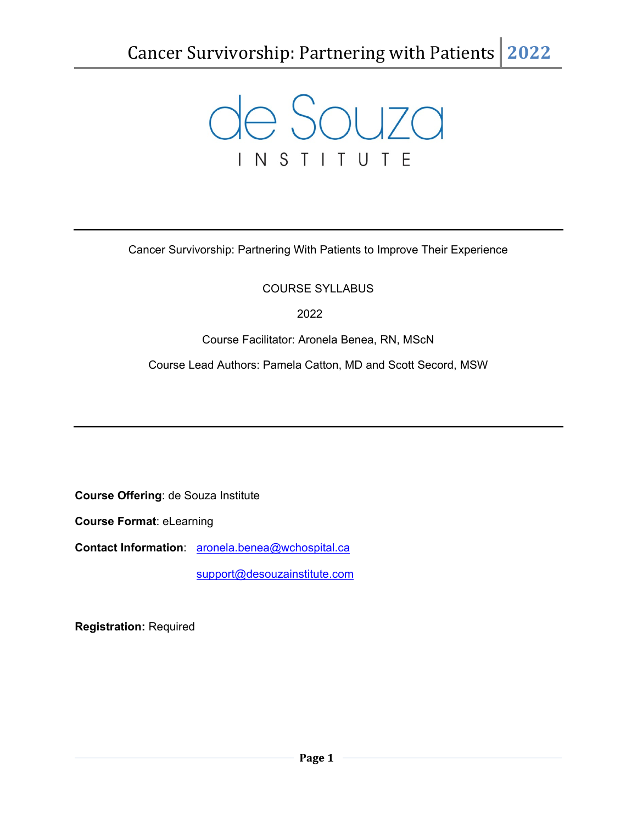

Cancer Survivorship: Partnering With Patients to Improve Their Experience

## COURSE SYLLABUS

2022

Course Facilitator: Aronela Benea, RN, MScN

Course Lead Authors: Pamela Catton, MD and Scott Secord, MSW

**Course Offering**: de Souza Institute

**Course Format**: eLearning

**Contact Information**: [aronela.benea@wchospital.ca](mailto:aronela.benea@wchospital.ca)

[support@desouzainstitute.com](mailto:support@desouzainstitute.com)

**Registration:** Required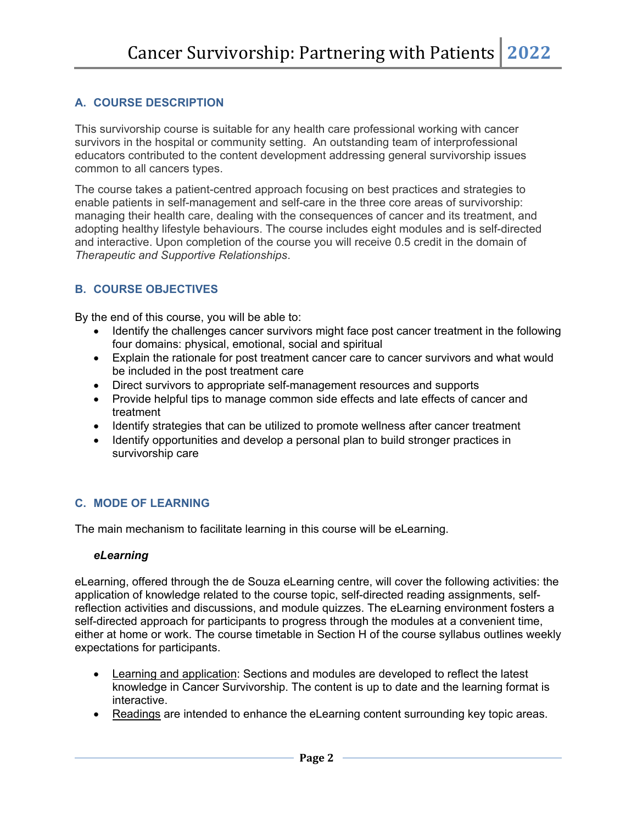# **A. COURSE DESCRIPTION**

This survivorship course is suitable for any health care professional working with cancer survivors in the hospital or community setting. An outstanding team of interprofessional educators contributed to the content development addressing general survivorship issues common to all cancers types.

The course takes a patient-centred approach focusing on best practices and strategies to enable patients in self-management and self-care in the three core areas of survivorship: managing their health care, dealing with the consequences of cancer and its treatment, and adopting healthy lifestyle behaviours. The course includes eight modules and is self-directed and interactive. Upon completion of the course you will receive 0.5 credit in the domain of *Therapeutic and Supportive Relationships*.

# **B. COURSE OBJECTIVES**

By the end of this course, you will be able to:

- Identify the challenges cancer survivors might face post cancer treatment in the following four domains: physical, emotional, social and spiritual
- Explain the rationale for post treatment cancer care to cancer survivors and what would be included in the post treatment care
- Direct survivors to appropriate self-management resources and supports
- Provide helpful tips to manage common side effects and late effects of cancer and treatment
- Identify strategies that can be utilized to promote wellness after cancer treatment
- Identify opportunities and develop a personal plan to build stronger practices in survivorship care

## **C. MODE OF LEARNING**

The main mechanism to facilitate learning in this course will be eLearning.

#### *eLearning*

eLearning, offered through the de Souza eLearning centre, will cover the following activities: the application of knowledge related to the course topic, self-directed reading assignments, selfreflection activities and discussions, and module quizzes. The eLearning environment fosters a self-directed approach for participants to progress through the modules at a convenient time, either at home or work. The course timetable in Section H of the course syllabus outlines weekly expectations for participants.

- Learning and application: Sections and modules are developed to reflect the latest knowledge in Cancer Survivorship. The content is up to date and the learning format is interactive.
- Readings are intended to enhance the eLearning content surrounding key topic areas.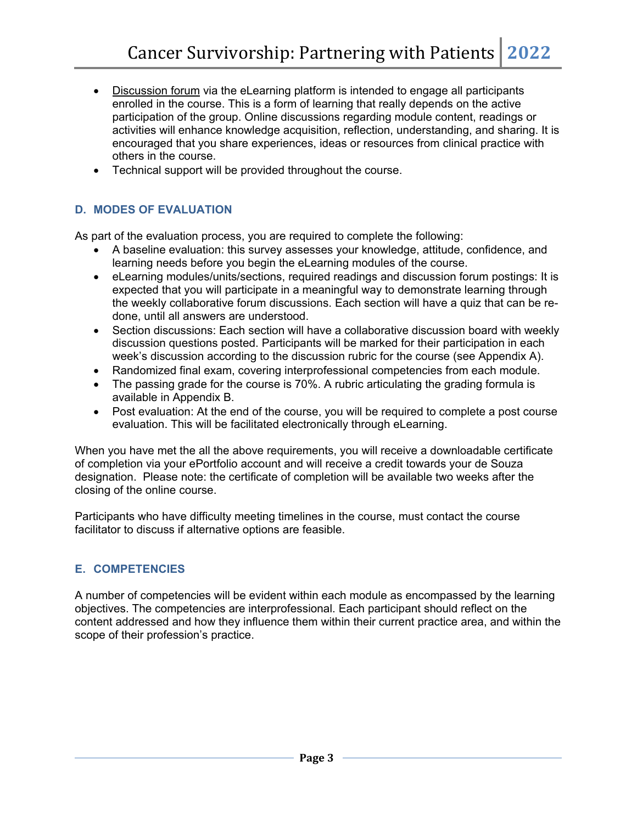- Discussion forum via the eLearning platform is intended to engage all participants enrolled in the course. This is a form of learning that really depends on the active participation of the group. Online discussions regarding module content, readings or activities will enhance knowledge acquisition, reflection, understanding, and sharing. It is encouraged that you share experiences, ideas or resources from clinical practice with others in the course.
- Technical support will be provided throughout the course.

## **D. MODES OF EVALUATION**

As part of the evaluation process, you are required to complete the following:

- A baseline evaluation: this survey assesses your knowledge, attitude, confidence, and learning needs before you begin the eLearning modules of the course.
- eLearning modules/units/sections, required readings and discussion forum postings: It is expected that you will participate in a meaningful way to demonstrate learning through the weekly collaborative forum discussions. Each section will have a quiz that can be redone, until all answers are understood.
- Section discussions: Each section will have a collaborative discussion board with weekly discussion questions posted. Participants will be marked for their participation in each week's discussion according to the discussion rubric for the course (see Appendix A).
- Randomized final exam, covering interprofessional competencies from each module.
- The passing grade for the course is 70%. A rubric articulating the grading formula is available in Appendix B.
- Post evaluation: At the end of the course, you will be required to complete a post course evaluation. This will be facilitated electronically through eLearning.

When you have met the all the above requirements, you will receive a downloadable certificate of completion via your ePortfolio account and will receive a credit towards your de Souza designation. Please note: the certificate of completion will be available two weeks after the closing of the online course.

Participants who have difficulty meeting timelines in the course, must contact the course facilitator to discuss if alternative options are feasible.

## **E. COMPETENCIES**

A number of competencies will be evident within each module as encompassed by the learning objectives. The competencies are interprofessional. Each participant should reflect on the content addressed and how they influence them within their current practice area, and within the scope of their profession's practice.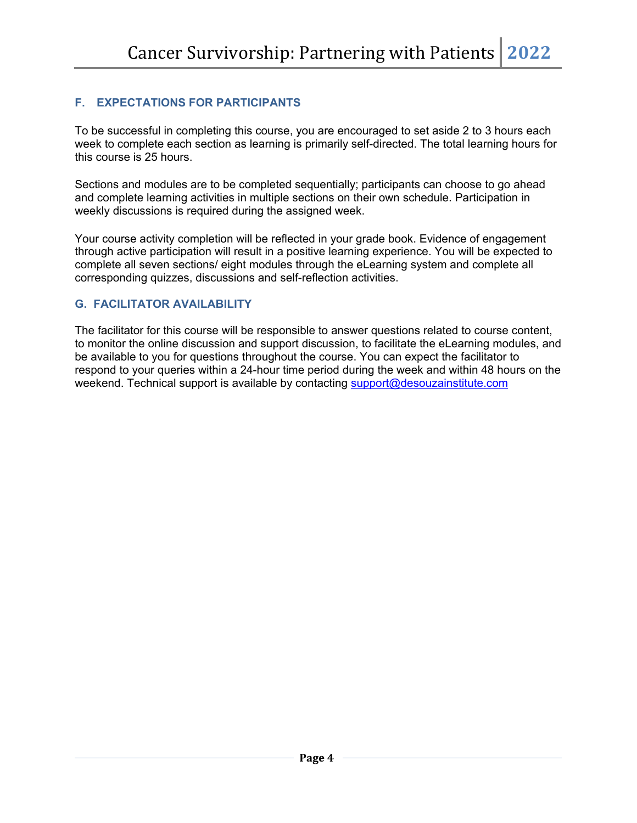# **F. EXPECTATIONS FOR PARTICIPANTS**

To be successful in completing this course, you are encouraged to set aside 2 to 3 hours each week to complete each section as learning is primarily self-directed. The total learning hours for this course is 25 hours.

Sections and modules are to be completed sequentially; participants can choose to go ahead and complete learning activities in multiple sections on their own schedule. Participation in weekly discussions is required during the assigned week.

Your course activity completion will be reflected in your grade book. Evidence of engagement through active participation will result in a positive learning experience. You will be expected to complete all seven sections/ eight modules through the eLearning system and complete all corresponding quizzes, discussions and self-reflection activities.

# **G. FACILITATOR AVAILABILITY**

The facilitator for this course will be responsible to answer questions related to course content, to monitor the online discussion and support discussion, to facilitate the eLearning modules, and be available to you for questions throughout the course. You can expect the facilitator to respond to your queries within a 24-hour time period during the week and within 48 hours on the weekend. Technical support is available by contacting [support@desouzainstitute.com](mailto:support@desouzainstitute.com)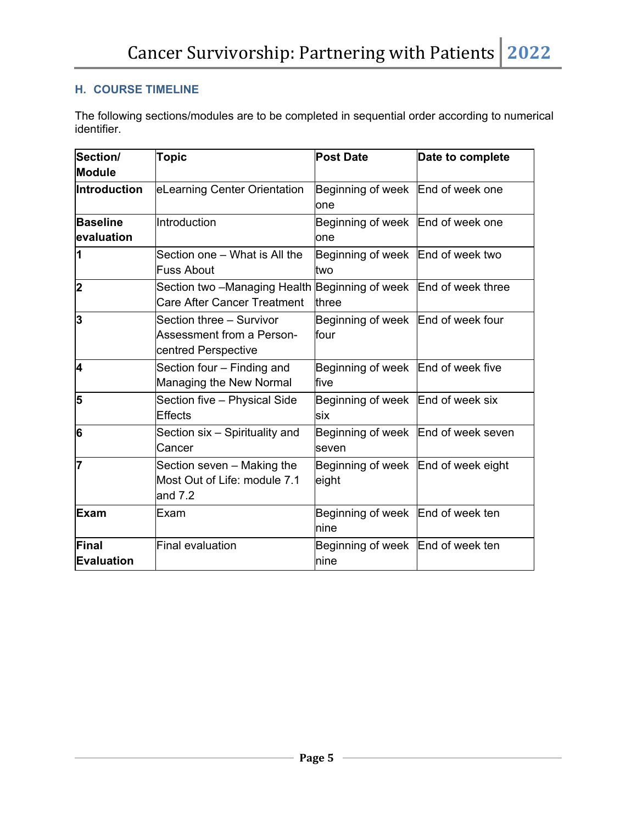# **H. COURSE TIMELINE**

The following sections/modules are to be completed in sequential order according to numerical identifier.

| Section/<br><b>Module</b>     | <b>Topic</b>                                                                                           | <b>Post Date</b>                             | Date to complete |
|-------------------------------|--------------------------------------------------------------------------------------------------------|----------------------------------------------|------------------|
| <b>Introduction</b>           | eLearning Center Orientation                                                                           | Beginning of week End of week one<br>lone    |                  |
| <b>Baseline</b><br>evaluation | Introduction                                                                                           | Beginning of week End of week one<br>one     |                  |
| 1                             | Section one - What is All the<br><b>Fuss About</b>                                                     | Beginning of week End of week two<br>two     |                  |
| $\overline{\mathbf{2}}$       | Section two –Managing Health Beginning of week End of week three<br><b>Care After Cancer Treatment</b> | three                                        |                  |
| 3                             | Section three - Survivor<br>Assessment from a Person-<br>centred Perspective                           | Beginning of week End of week four<br>four   |                  |
| 4                             | Section four - Finding and<br>Managing the New Normal                                                  | Beginning of week End of week five<br>five   |                  |
| 5                             | Section five - Physical Side<br><b>Effects</b>                                                         | Beginning of week   End of week six<br>six   |                  |
| 6                             | Section six - Spirituality and<br>Cancer                                                               | Beginning of week End of week seven<br>seven |                  |
| 17                            | Section seven – Making the<br>Most Out of Life: module 7.1<br>and $7.2$                                | Beginning of week End of week eight<br>eight |                  |
| Exam                          | Exam                                                                                                   | Beginning of week End of week ten<br>nine    |                  |
| Final<br>Evaluation           | Final evaluation                                                                                       | Beginning of week End of week ten<br>nine    |                  |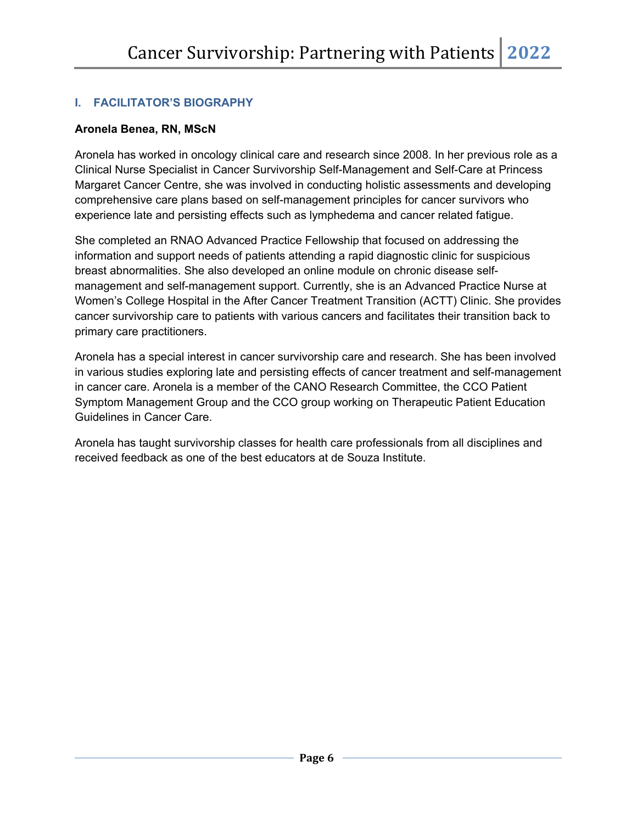# **I. FACILITATOR'S BIOGRAPHY**

## **Aronela Benea, RN, MScN**

Aronela has worked in oncology clinical care and research since 2008. In her previous role as a Clinical Nurse Specialist in Cancer Survivorship Self-Management and Self-Care at Princess Margaret Cancer Centre, she was involved in conducting holistic assessments and developing comprehensive care plans based on self-management principles for cancer survivors who experience late and persisting effects such as lymphedema and cancer related fatigue.

She completed an RNAO Advanced Practice Fellowship that focused on addressing the information and support needs of patients attending a rapid diagnostic clinic for suspicious breast abnormalities. She also developed an online module on chronic disease selfmanagement and self-management support. Currently, she is an Advanced Practice Nurse at Women's College Hospital in the After Cancer Treatment Transition (ACTT) Clinic. She provides cancer survivorship care to patients with various cancers and facilitates their transition back to primary care practitioners.

Aronela has a special interest in cancer survivorship care and research. She has been involved in various studies exploring late and persisting effects of cancer treatment and self-management in cancer care. Aronela is a member of the CANO Research Committee, the CCO Patient Symptom Management Group and the CCO group working on Therapeutic Patient Education Guidelines in Cancer Care.

Aronela has taught survivorship classes for health care professionals from all disciplines and received feedback as one of the best educators at de Souza Institute.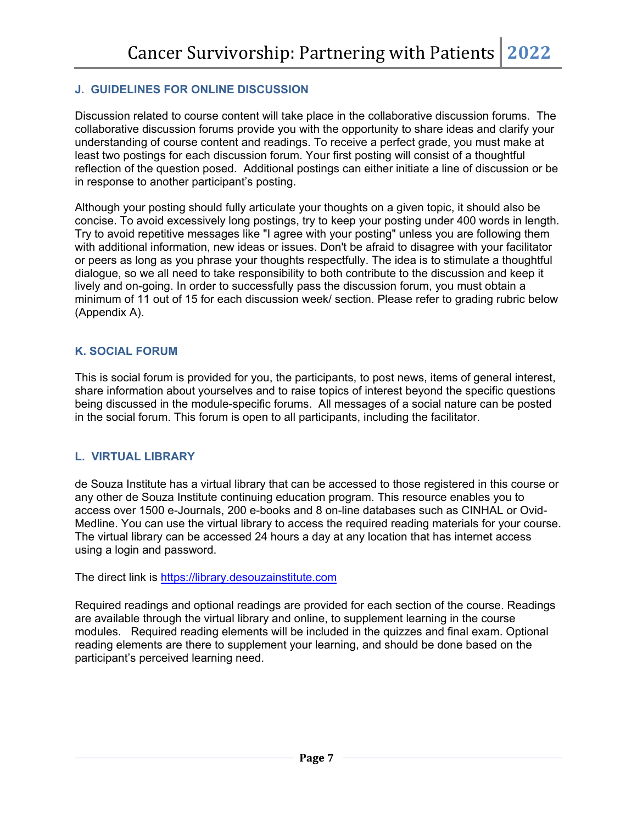## **J. GUIDELINES FOR ONLINE DISCUSSION**

Discussion related to course content will take place in the collaborative discussion forums. The collaborative discussion forums provide you with the opportunity to share ideas and clarify your understanding of course content and readings. To receive a perfect grade, you must make at least two postings for each discussion forum. Your first posting will consist of a thoughtful reflection of the question posed. Additional postings can either initiate a line of discussion or be in response to another participant's posting.

Although your posting should fully articulate your thoughts on a given topic, it should also be concise. To avoid excessively long postings, try to keep your posting under 400 words in length. Try to avoid repetitive messages like "I agree with your posting" unless you are following them with additional information, new ideas or issues. Don't be afraid to disagree with your facilitator or peers as long as you phrase your thoughts respectfully. The idea is to stimulate a thoughtful dialogue, so we all need to take responsibility to both contribute to the discussion and keep it lively and on-going. In order to successfully pass the discussion forum, you must obtain a minimum of 11 out of 15 for each discussion week/ section. Please refer to grading rubric below (Appendix A).

#### **K. SOCIAL FORUM**

This is social forum is provided for you, the participants, to post news, items of general interest, share information about yourselves and to raise topics of interest beyond the specific questions being discussed in the module-specific forums. All messages of a social nature can be posted in the social forum. This forum is open to all participants, including the facilitator.

#### **L. VIRTUAL LIBRARY**

de Souza Institute has a virtual library that can be accessed to those registered in this course or any other de Souza Institute continuing education program. This resource enables you to access over 1500 e-Journals, 200 e-books and 8 on-line databases such as CINHAL or Ovid-Medline. You can use the virtual library to access the required reading materials for your course. The virtual library can be accessed 24 hours a day at any location that has internet access using a login and password.

The direct link is [https://library.desouzainstitute.com](https://library.desouzainstitute.com/)

Required readings and optional readings are provided for each section of the course. Readings are available through the virtual library and online, to supplement learning in the course modules. Required reading elements will be included in the quizzes and final exam. Optional reading elements are there to supplement your learning, and should be done based on the participant's perceived learning need.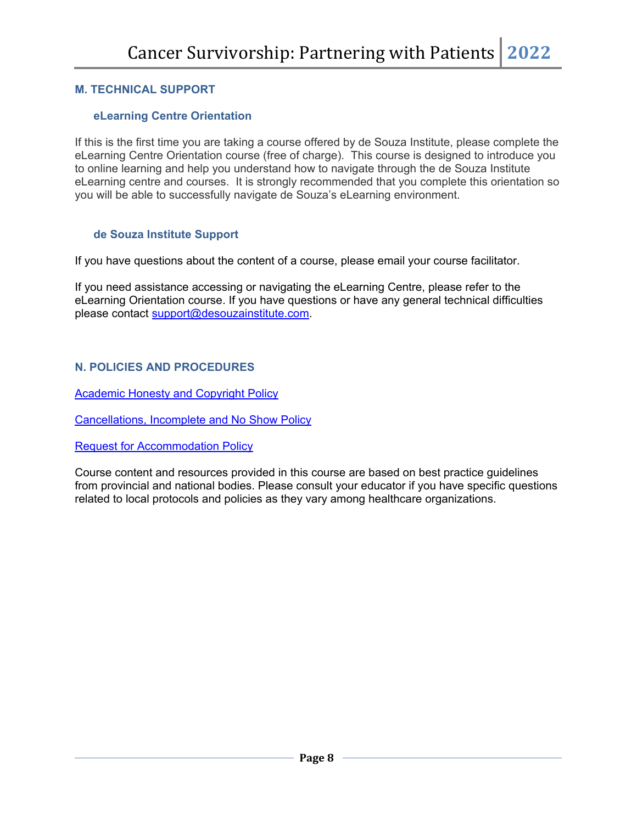#### **M. TECHNICAL SUPPORT**

#### **eLearning Centre Orientation**

If this is the first time you are taking a course offered by de Souza Institute, please complete the eLearning Centre Orientation course (free of charge). This course is designed to introduce you to online learning and help you understand how to navigate through the de Souza Institute eLearning centre and courses. It is strongly recommended that you complete this orientation so you will be able to successfully navigate de Souza's eLearning environment.

#### **de Souza Institute Support**

If you have questions about the content of a course, please email your course facilitator.

If you need assistance accessing or navigating the eLearning Centre, please refer to the eLearning Orientation course. If you have questions or have any general technical difficulties please contact [support@desouzainstitute.com.](mailto:support@desouzainstitute.com)

## **N. POLICIES AND PROCEDURES**

**[Academic Honesty and Copyright Policy](http://www.desouzainstitute.com/academic-honesty-and-copyright-policy)** 

[Cancellations, Incomplete and No Show Policy](http://www.desouzainstitute.com/cancellation-incomplete-or-no-show-policy)

[Request for Accommodation](https://www.desouzainstitute.com/request-for-accommodation-policy/) Policy

Course content and resources provided in this course are based on best practice guidelines from provincial and national bodies. Please consult your educator if you have specific questions related to local protocols and policies as they vary among healthcare organizations.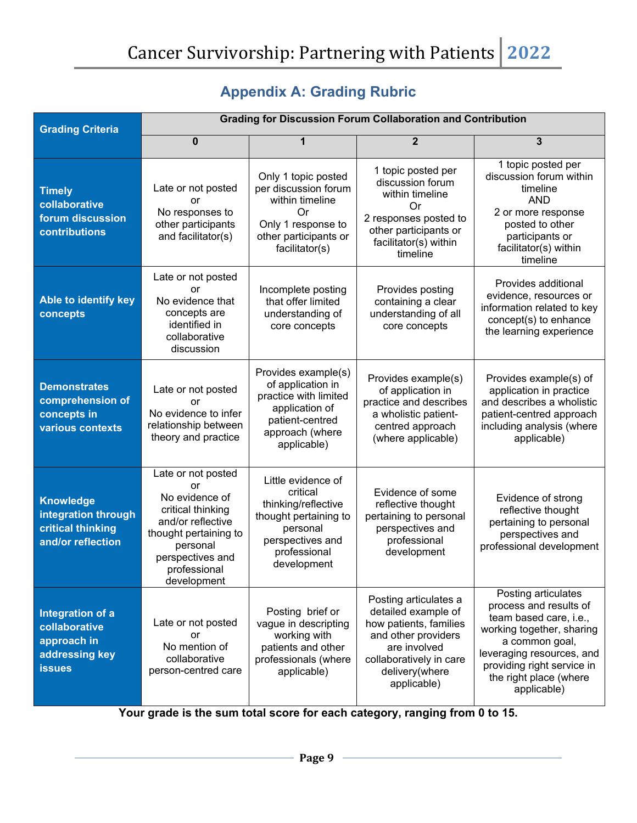| <b>Grading Criteria</b>                                                             | <b>Grading for Discussion Forum Collaboration and Contribution</b>                                                                                                           |                                                                                                                                               |                                                                                                                                                                           |                                                                                                                                                                                                                            |
|-------------------------------------------------------------------------------------|------------------------------------------------------------------------------------------------------------------------------------------------------------------------------|-----------------------------------------------------------------------------------------------------------------------------------------------|---------------------------------------------------------------------------------------------------------------------------------------------------------------------------|----------------------------------------------------------------------------------------------------------------------------------------------------------------------------------------------------------------------------|
|                                                                                     | 0                                                                                                                                                                            |                                                                                                                                               | $\overline{2}$                                                                                                                                                            | 3                                                                                                                                                                                                                          |
| <b>Timely</b><br>collaborative<br>forum discussion<br>contributions                 | Late or not posted<br>or<br>No responses to<br>other participants<br>and facilitator(s)                                                                                      | Only 1 topic posted<br>per discussion forum<br>within timeline<br>0r<br>Only 1 response to<br>other participants or<br>facilitator(s)         | 1 topic posted per<br>discussion forum<br>within timeline<br>0r<br>2 responses posted to<br>other participants or<br>facilitator(s) within<br>timeline                    | 1 topic posted per<br>discussion forum within<br>timeline<br><b>AND</b><br>2 or more response<br>posted to other<br>participants or<br>facilitator(s) within<br>timeline                                                   |
| Able to identify key<br>concepts                                                    | Late or not posted<br>or<br>No evidence that<br>concepts are<br>identified in<br>collaborative<br>discussion                                                                 | Incomplete posting<br>that offer limited<br>understanding of<br>core concepts                                                                 | Provides posting<br>containing a clear<br>understanding of all<br>core concepts                                                                                           | Provides additional<br>evidence, resources or<br>information related to key<br>concept(s) to enhance<br>the learning experience                                                                                            |
| <b>Demonstrates</b><br>comprehension of<br>concepts in<br>various contexts          | Late or not posted<br>or<br>No evidence to infer<br>relationship between<br>theory and practice                                                                              | Provides example(s)<br>of application in<br>practice with limited<br>application of<br>patient-centred<br>approach (where<br>applicable)      | Provides example(s)<br>of application in<br>practice and describes<br>a wholistic patient-<br>centred approach<br>(where applicable)                                      | Provides example(s) of<br>application in practice<br>and describes a wholistic<br>patient-centred approach<br>including analysis (where<br>applicable)                                                                     |
| <b>Knowledge</b><br>integration through<br>critical thinking<br>and/or reflection   | Late or not posted<br>or<br>No evidence of<br>critical thinking<br>and/or reflective<br>thought pertaining to<br>personal<br>perspectives and<br>professional<br>development | Little evidence of<br>critical<br>thinking/reflective<br>thought pertaining to<br>personal<br>perspectives and<br>professional<br>development | Evidence of some<br>reflective thought<br>pertaining to personal<br>perspectives and<br>professional<br>development                                                       | Evidence of strong<br>reflective thought<br>pertaining to personal<br>perspectives and<br>professional development                                                                                                         |
| Integration of a<br>collaborative<br>approach in<br>addressing key<br><b>issues</b> | Late or not posted<br>or<br>No mention of<br>collaborative<br>person-centred care                                                                                            | Posting brief or<br>vague in descripting<br>working with<br>patients and other<br>professionals (where<br>applicable)                         | Posting articulates a<br>detailed example of<br>how patients, families<br>and other providers<br>are involved<br>collaboratively in care<br>delivery(where<br>applicable) | Posting articulates<br>process and results of<br>team based care, i.e.,<br>working together, sharing<br>a common goal,<br>leveraging resources, and<br>providing right service in<br>the right place (where<br>applicable) |

# **Appendix A: Grading Rubric**

**Your grade is the sum total score for each category, ranging from 0 to 15.**